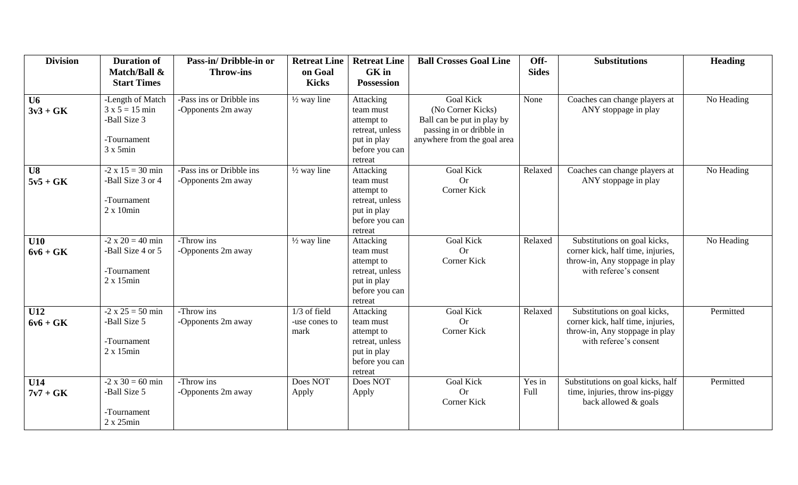| <b>Division</b>     | <b>Duration of</b><br>Match/Ball &                                                      | Pass-in/Dribble-in or<br><b>Throw-ins</b>      | <b>Retreat Line</b><br>on Goal          | <b>Retreat Line</b><br><b>GK</b> in                                                                        | <b>Ball Crosses Goal Line</b>                                                                                                  | Off-<br><b>Sides</b> | <b>Substitutions</b>                                                                                                          | <b>Heading</b> |
|---------------------|-----------------------------------------------------------------------------------------|------------------------------------------------|-----------------------------------------|------------------------------------------------------------------------------------------------------------|--------------------------------------------------------------------------------------------------------------------------------|----------------------|-------------------------------------------------------------------------------------------------------------------------------|----------------|
|                     | <b>Start Times</b>                                                                      |                                                | <b>Kicks</b>                            | <b>Possession</b>                                                                                          |                                                                                                                                |                      |                                                                                                                               |                |
| $U_6$<br>$3v3 + GK$ | -Length of Match<br>$3 x 5 = 15 min$<br>-Ball Size 3<br>-Tournament<br>$3 \times 5$ min | -Pass ins or Dribble ins<br>-Opponents 2m away | $\frac{1}{2}$ way line                  | Attacking<br>team must<br>attempt to<br>retreat, unless<br>put in play<br>before you can<br>retreat        | <b>Goal Kick</b><br>(No Corner Kicks)<br>Ball can be put in play by<br>passing in or dribble in<br>anywhere from the goal area | None                 | Coaches can change players at<br>ANY stoppage in play                                                                         | No Heading     |
| U8<br>$5v5 + GK$    | $-2 \times 15 = 30$ min<br>-Ball Size 3 or 4<br>-Tournament<br>$2 \times 10$ min        | -Pass ins or Dribble ins<br>-Opponents 2m away | $\frac{1}{2}$ way line                  | Attacking<br>team must<br>attempt to<br>retreat, unless<br>put in play<br>before you can<br>retreat        | <b>Goal Kick</b><br><b>Or</b><br>Corner Kick                                                                                   | Relaxed              | Coaches can change players at<br>ANY stoppage in play                                                                         | No Heading     |
| U10<br>$6v6 + GK$   | $-2 \times 20 = 40$ min<br>-Ball Size 4 or 5<br>-Tournament<br>$2 \times 15$ min        | -Throw ins<br>-Opponents 2m away               | $\frac{1}{2}$ way line                  | Attacking<br>team must<br>attempt to<br>retreat, unless<br>put in play<br>before you can<br>retreat        | <b>Goal Kick</b><br><b>Or</b><br>Corner Kick                                                                                   | Relaxed              | Substitutions on goal kicks,<br>corner kick, half time, injuries,<br>throw-in, Any stoppage in play<br>with referee's consent | No Heading     |
| U12<br>$6v6 + GK$   | $-2 \times 25 = 50$ min<br>-Ball Size 5<br>-Tournament<br>$2 \times 15$ min             | -Throw ins<br>-Opponents 2m away               | $1/3$ of field<br>-use cones to<br>mark | <b>Attacking</b><br>team must<br>attempt to<br>retreat, unless<br>put in play<br>before you can<br>retreat | <b>Goal Kick</b><br><b>Or</b><br>Corner Kick                                                                                   | Relaxed              | Substitutions on goal kicks,<br>corner kick, half time, injuries,<br>throw-in, Any stoppage in play<br>with referee's consent | Permitted      |
| U14<br>$7v7 + GK$   | $-2 \times 30 = 60$ min<br>-Ball Size 5<br>-Tournament<br>$2 x 25$ min                  | -Throw ins<br>-Opponents 2m away               | Does NOT<br>Apply                       | Does NOT<br>Apply                                                                                          | <b>Goal Kick</b><br><b>Or</b><br>Corner Kick                                                                                   | Yes in<br>Full       | Substitutions on goal kicks, half<br>time, injuries, throw ins-piggy<br>back allowed & goals                                  | Permitted      |